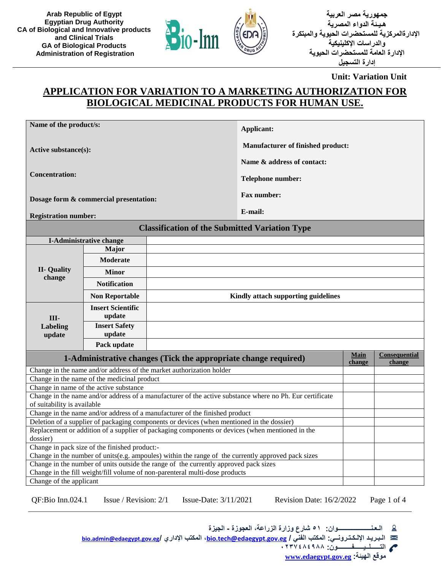



**جمهورية مصر العربية هـيـئة الدواء المصرية اإلدارةالمركزية للمستحضرات الحيوية والمبتكرة والدراسات اإلكلينيكية اإلدارة العامة للمستحضرات الحيوية إدارة التسجيل**

**Unit: Variation Unit**

## **APPLICATION FOR VARIATION TO A MARKETING AUTHORIZATION FOR BIOLOGICAL MEDICINAL PRODUCTS FOR HUMAN USE.**

| Name of the product/s:                                                                                                                                              |                                               | Applicant:                                                                                         |                                                                                                          |                       |                         |  |
|---------------------------------------------------------------------------------------------------------------------------------------------------------------------|-----------------------------------------------|----------------------------------------------------------------------------------------------------|----------------------------------------------------------------------------------------------------------|-----------------------|-------------------------|--|
| Active substance(s):                                                                                                                                                |                                               |                                                                                                    | <b>Manufacturer of finished product:</b>                                                                 |                       |                         |  |
|                                                                                                                                                                     |                                               |                                                                                                    | Name & address of contact:                                                                               |                       |                         |  |
|                                                                                                                                                                     |                                               |                                                                                                    |                                                                                                          |                       |                         |  |
| <b>Concentration:</b>                                                                                                                                               |                                               |                                                                                                    | Telephone number:                                                                                        |                       |                         |  |
|                                                                                                                                                                     | Dosage form & commercial presentation:        |                                                                                                    | <b>Fax number:</b>                                                                                       |                       |                         |  |
|                                                                                                                                                                     |                                               |                                                                                                    | E-mail:                                                                                                  |                       |                         |  |
| <b>Registration number:</b>                                                                                                                                         |                                               |                                                                                                    |                                                                                                          |                       |                         |  |
|                                                                                                                                                                     |                                               | <b>Classification of the Submitted Variation Type</b>                                              |                                                                                                          |                       |                         |  |
|                                                                                                                                                                     | <b>I-Administrative change</b>                |                                                                                                    |                                                                                                          |                       |                         |  |
|                                                                                                                                                                     | <b>Major</b>                                  |                                                                                                    |                                                                                                          |                       |                         |  |
|                                                                                                                                                                     | Moderate                                      |                                                                                                    |                                                                                                          |                       |                         |  |
| <b>II- Quality</b><br>change                                                                                                                                        | <b>Minor</b>                                  |                                                                                                    |                                                                                                          |                       |                         |  |
|                                                                                                                                                                     | <b>Notification</b>                           |                                                                                                    |                                                                                                          |                       |                         |  |
|                                                                                                                                                                     | <b>Non Reportable</b>                         | Kindly attach supporting guidelines                                                                |                                                                                                          |                       |                         |  |
|                                                                                                                                                                     | <b>Insert Scientific</b>                      |                                                                                                    |                                                                                                          |                       |                         |  |
| III-                                                                                                                                                                | update                                        |                                                                                                    |                                                                                                          |                       |                         |  |
| Labeling<br>update                                                                                                                                                  | <b>Insert Safety</b><br>update                |                                                                                                    |                                                                                                          |                       |                         |  |
|                                                                                                                                                                     | Pack update                                   |                                                                                                    |                                                                                                          |                       |                         |  |
|                                                                                                                                                                     |                                               | 1-Administrative changes (Tick the appropriate change required)                                    |                                                                                                          | <b>Main</b><br>change | Consequential<br>change |  |
|                                                                                                                                                                     |                                               | Change in the name and/or address of the market authorization holder                               |                                                                                                          |                       |                         |  |
|                                                                                                                                                                     | Change in the name of the medicinal product   |                                                                                                    |                                                                                                          |                       |                         |  |
|                                                                                                                                                                     | Change in name of the active substance        |                                                                                                    |                                                                                                          |                       |                         |  |
| of suitability is available                                                                                                                                         |                                               |                                                                                                    | Change in the name and/or address of a manufacturer of the active substance where no Ph. Eur certificate |                       |                         |  |
|                                                                                                                                                                     |                                               | Change in the name and/or address of a manufacturer of the finished product                        |                                                                                                          |                       |                         |  |
| Deletion of a supplier of packaging components or devices (when mentioned in the dossier)                                                                           |                                               |                                                                                                    |                                                                                                          |                       |                         |  |
|                                                                                                                                                                     |                                               | Replacement or addition of a supplier of packaging components or devices (when mentioned in the    |                                                                                                          |                       |                         |  |
| dossier)                                                                                                                                                            |                                               |                                                                                                    |                                                                                                          |                       |                         |  |
|                                                                                                                                                                     | Change in pack size of the finished product:- |                                                                                                    |                                                                                                          |                       |                         |  |
|                                                                                                                                                                     |                                               | Change in the number of units(e.g. ampoules) within the range of the currently approved pack sizes |                                                                                                          |                       |                         |  |
| Change in the number of units outside the range of the currently approved pack sizes<br>Change in the fill weight/fill volume of non-parenteral multi-dose products |                                               |                                                                                                    |                                                                                                          |                       |                         |  |
| Change of the applicant                                                                                                                                             |                                               |                                                                                                    |                                                                                                          |                       |                         |  |
|                                                                                                                                                                     |                                               |                                                                                                    |                                                                                                          |                       |                         |  |

QF:Bio Inn.024.1 Issue / Revision: 2/1 Issue-Date: 3/11/2021 Revision Date: 16/2/2022 Page 1 of 4

 **الـعـنـــــــــــــــــــــوان: 51 شارع وزارة الزراعة، العجوزة - الجيزة**

ନ୍ଦ **[bio.admin@edaegypt.gov.eg](mailto:bio.admin@edaegypt.gov.eg)/ اإلداري المكتب ،[bio.tech@edaegypt.gov.eg](mailto:bio.tech@edaegypt.gov.eg) / الفني المكتب :اإللـكـتـرونــي الـبـريـد** 

**التــــــلــيــــــفـــــــــون: 0237484988**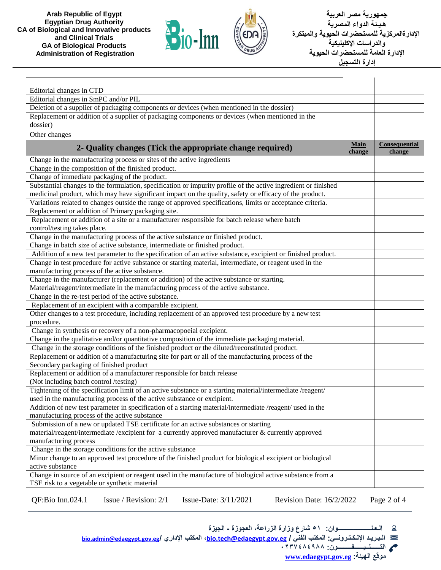



**جمهورية مصر العربية هـيـئة الدواء المصرية اإلدارةالمركزية للمستحضرات الحيوية والمبتكرة والدراسات اإلكلينيكية اإلدارة العامة للمستحضرات الحيوية إدارة التسجيل**

| Editorial changes in CTD                                                                                       |                       |                         |
|----------------------------------------------------------------------------------------------------------------|-----------------------|-------------------------|
| Editorial changes in SmPC and/or PIL                                                                           |                       |                         |
| Deletion of a supplier of packaging components or devices (when mentioned in the dossier)                      |                       |                         |
| Replacement or addition of a supplier of packaging components or devices (when mentioned in the                |                       |                         |
| dossier)                                                                                                       |                       |                         |
| Other changes                                                                                                  |                       |                         |
| 2- Quality changes (Tick the appropriate change required)                                                      | <b>Main</b><br>change | Consequential<br>change |
| Change in the manufacturing process or sites of the active ingredients                                         |                       |                         |
| Change in the composition of the finished product.                                                             |                       |                         |
| Change of immediate packaging of the product.                                                                  |                       |                         |
| Substantial changes to the formulation, specification or impurity profile of the active ingredient or finished |                       |                         |
| medicinal product, which may have significant impact on the quality, safety or efficacy of the product.        |                       |                         |
| Variations related to changes outside the range of approved specifications, limits or acceptance criteria.     |                       |                         |
| Replacement or addition of Primary packaging site.                                                             |                       |                         |
| Replacement or addition of a site or a manufacturer responsible for batch release where batch                  |                       |                         |
| control/testing takes place.                                                                                   |                       |                         |
| Change in the manufacturing process of the active substance or finished product.                               |                       |                         |
| Change in batch size of active substance, intermediate or finished product.                                    |                       |                         |
| Addition of a new test parameter to the specification of an active substance, excipient or finished product.   |                       |                         |
| Change in test procedure for active substance or starting material, intermediate, or reagent used in the       |                       |                         |
| manufacturing process of the active substance.                                                                 |                       |                         |
| Change in the manufacturer (replacement or addition) of the active substance or starting.                      |                       |                         |
| Material/reagent/intermediate in the manufacturing process of the active substance.                            |                       |                         |
| Change in the re-test period of the active substance.                                                          |                       |                         |
| Replacement of an excipient with a comparable excipient.                                                       |                       |                         |
| Other changes to a test procedure, including replacement of an approved test procedure by a new test           |                       |                         |
| procedure.                                                                                                     |                       |                         |
| Change in synthesis or recovery of a non-pharmacopoeial excipient.                                             |                       |                         |
| Change in the qualitative and/or quantitative composition of the immediate packaging material.                 |                       |                         |
| Change in the storage conditions of the finished product or the diluted/reconstituted product.                 |                       |                         |
| Replacement or addition of a manufacturing site for part or all of the manufacturing process of the            |                       |                         |
| Secondary packaging of finished product                                                                        |                       |                         |
| Replacement or addition of a manufacturer responsible for batch release                                        |                       |                         |
| (Not including batch control /testing)                                                                         |                       |                         |
| Tightening of the specification limit of an active substance or a starting material/intermediate/reagent/      |                       |                         |
| used in the manufacturing process of the active substance or excipient.                                        |                       |                         |
| Addition of new test parameter in specification of a starting material/intermediate/reagent/ used in the       |                       |                         |
| manufacturing process of the active substance                                                                  |                       |                         |
| Submission of a new or updated TSE certificate for an active substances or starting                            |                       |                         |
| material/reagent/intermediate /excipient for a currently approved manufacturer & currently approved            |                       |                         |
| manufacturing process                                                                                          |                       |                         |
| Change in the storage conditions for the active substance                                                      |                       |                         |
| Minor change to an approved test procedure of the finished product for biological excipient or biological      |                       |                         |
| active substance                                                                                               |                       |                         |
| Change in source of an excipient or reagent used in the manufacture of biological active substance from a      |                       |                         |
| TSE risk to a vegetable or synthetic material                                                                  |                       |                         |
|                                                                                                                |                       |                         |

QF:Bio Inn.024.1 Issue / Revision: 2/1 Issue-Date: 3/11/2021 Revision Date: 16/2/2022 Page 2 of 4

 **الـعـنـــــــــــــــــــــوان: 51 شارع وزارة الزراعة، العجوزة - الجيزة**

**[bio.admin@edaegypt.gov.eg](mailto:bio.admin@edaegypt.gov.eg)/ اإلداري المكتب ،[bio.tech@edaegypt.gov.eg](mailto:bio.tech@edaegypt.gov.eg) / الفني المكتب :اإللـكـتـرونــي الـبـريـد**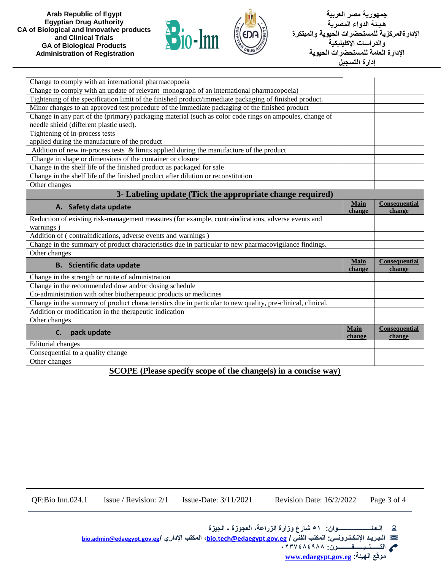



**جمهورية مصر العربية هـيـئة الدواء المصرية اإلدارةالمركزية للمستحضرات الحيوية والمبتكرة والدراسات اإلكلينيكية اإلدارة العامة للمستحضرات الحيوية إدارة التسجيل**

| Change to comply with an international pharmacopoeia                                                       |                       |                         |
|------------------------------------------------------------------------------------------------------------|-----------------------|-------------------------|
| Change to comply with an update of relevant monograph of an international pharmacopoeia)                   |                       |                         |
| Tightening of the specification limit of the finished product/immediate packaging of finished product.     |                       |                         |
| Minor changes to an approved test procedure of the immediate packaging of the finished product             |                       |                         |
| Change in any part of the (primary) packaging material (such as color code rings on ampoules, change of    |                       |                         |
| needle shield (different plastic used).                                                                    |                       |                         |
| Tightening of in-process tests                                                                             |                       |                         |
| applied during the manufacture of the product                                                              |                       |                         |
|                                                                                                            |                       |                         |
| Addition of new in-process tests & limits applied during the manufacture of the product                    |                       |                         |
| Change in shape or dimensions of the container or closure                                                  |                       |                         |
| Change in the shelf life of the finished product as packaged for sale                                      |                       |                         |
| Change in the shelf life of the finished product after dilution or reconstitution                          |                       |                         |
| Other changes                                                                                              |                       |                         |
| 3- Labeling update (Tick the appropriate change required)                                                  |                       |                         |
|                                                                                                            | Main                  | Consequential           |
| A. Safety data update                                                                                      | change                | change                  |
| Reduction of existing risk-management measures (for example, contraindications, adverse events and         |                       |                         |
| warnings)                                                                                                  |                       |                         |
| Addition of (contraindications, adverse events and warnings)                                               |                       |                         |
| Change in the summary of product characteristics due in particular to new pharmacovigilance findings.      |                       |                         |
| Other changes                                                                                              |                       |                         |
|                                                                                                            | <b>Main</b>           | Consequential           |
| <b>B.</b> Scientific data update                                                                           | change                | change                  |
| Change in the strength or route of administration                                                          |                       |                         |
| Change in the recommended dose and/or dosing schedule                                                      |                       |                         |
| Co-administration with other biotherapeutic products or medicines                                          |                       |                         |
| Change in the summary of product characteristics due in particular to new quality, pre-clinical, clinical. |                       |                         |
| Addition or modification in the therapeutic indication                                                     |                       |                         |
| Other changes                                                                                              |                       |                         |
|                                                                                                            |                       |                         |
| pack update<br>C.                                                                                          | <b>Main</b><br>change | Consequential<br>change |
| Editorial changes                                                                                          |                       |                         |
| Consequential to a quality change                                                                          |                       |                         |
| Other changes                                                                                              |                       |                         |
| $SCOPE$ (Please specify scope of the change(s) in a concise way)                                           |                       |                         |
|                                                                                                            |                       |                         |
|                                                                                                            |                       |                         |
|                                                                                                            |                       |                         |
|                                                                                                            |                       |                         |
|                                                                                                            |                       |                         |
|                                                                                                            |                       |                         |
|                                                                                                            |                       |                         |
|                                                                                                            |                       |                         |
|                                                                                                            |                       |                         |
|                                                                                                            |                       |                         |
|                                                                                                            |                       |                         |
|                                                                                                            |                       |                         |
|                                                                                                            |                       |                         |
|                                                                                                            |                       |                         |
|                                                                                                            |                       |                         |

QF:Bio Inn.024.1 Issue / Revision: 2/1 Issue-Date: 3/11/2021 Revision Date: 16/2/2022 Page 3 of 4

 **الـعـنـــــــــــــــــــــوان: 51 شارع وزارة الزراعة، العجوزة - الجيزة**

**[bio.admin@edaegypt.gov.eg](mailto:bio.admin@edaegypt.gov.eg)/ اإلداري المكتب ،[bio.tech@edaegypt.gov.eg](mailto:bio.tech@edaegypt.gov.eg) / الفني المكتب :اإللـكـتـرونــي الـبـريـد** 

**التــــــلــيــــــفـــــــــون: 0237484988**

<u>ର</u>

 $\mathbf{r}$